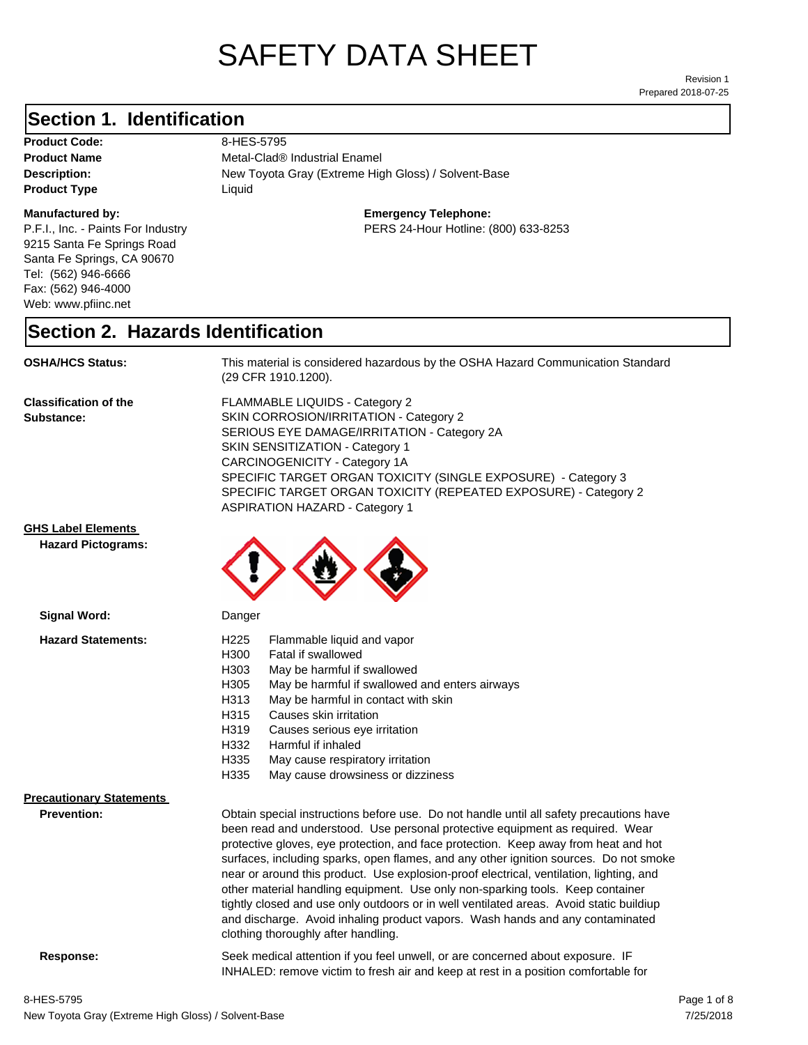# SAFETY DATA SHEET

Prepared 2018-07-25 Revision 1

#### **Section 1. Identification**

Product Code: 8-HES-5795 **Product Type Liquid Liquid** 

#### **Manufactured by:**

P.F.I., Inc. - Paints For Industry 9215 Santa Fe Springs Road Santa Fe Springs, CA 90670 Tel: (562) 946-6666 Fax: (562) 946-4000 Web: www.pfiinc.net

**Description:** New Toyota Gray (Extreme High Gloss) / Solvent-Base **Product Name** Metal-Clad® Industrial Enamel

**Emergency Telephone:**

PERS 24-Hour Hotline: (800) 633-8253

#### **Section 2. Hazards Identification**

**OSHA/HCS Status:** This material is considered hazardous by the OSHA Hazard Communication Standard (29 CFR 1910.1200).

**Classification of the Substance:**

FLAMMABLE LIQUIDS - Category 2 SKIN CORROSION/IRRITATION - Category 2 SERIOUS EYE DAMAGE/IRRITATION - Category 2A SKIN SENSITIZATION - Category 1 CARCINOGENICITY - Category 1A SPECIFIC TARGET ORGAN TOXICITY (SINGLE EXPOSURE) - Category 3 SPECIFIC TARGET ORGAN TOXICITY (REPEATED EXPOSURE) - Category 2 ASPIRATION HAZARD - Category 1

INHALED: remove victim to fresh air and keep at rest in a position comfortable for

#### **GHS Label Elements**

**Signal Word:**

**Hazard Pictograms:**



| <b></b>                                               | pangon                                                                                                                                                                                                                                                                                                                                                                                                                                                                                                                                                                                                                                                                                                                                                   |
|-------------------------------------------------------|----------------------------------------------------------------------------------------------------------------------------------------------------------------------------------------------------------------------------------------------------------------------------------------------------------------------------------------------------------------------------------------------------------------------------------------------------------------------------------------------------------------------------------------------------------------------------------------------------------------------------------------------------------------------------------------------------------------------------------------------------------|
| <b>Hazard Statements:</b>                             | H <sub>225</sub><br>Flammable liquid and vapor<br>H300<br>Fatal if swallowed<br>H303<br>May be harmful if swallowed<br>H305<br>May be harmful if swallowed and enters airways<br>May be harmful in contact with skin<br>H313<br>H315<br>Causes skin irritation<br>H319<br>Causes serious eye irritation<br>Harmful if inhaled<br>H332<br>H335<br>May cause respiratory irritation<br>H335<br>May cause drowsiness or dizziness                                                                                                                                                                                                                                                                                                                           |
| <b>Precautionary Statements</b><br><b>Prevention:</b> | Obtain special instructions before use. Do not handle until all safety precautions have<br>been read and understood. Use personal protective equipment as required. Wear<br>protective gloves, eye protection, and face protection. Keep away from heat and hot<br>surfaces, including sparks, open flames, and any other ignition sources. Do not smoke<br>near or around this product. Use explosion-proof electrical, ventilation, lighting, and<br>other material handling equipment. Use only non-sparking tools. Keep container<br>tightly closed and use only outdoors or in well ventilated areas. Avoid static buildiup<br>and discharge. Avoid inhaling product vapors. Wash hands and any contaminated<br>clothing thoroughly after handling. |

**Response:** Seek medical attention if you feel unwell, or are concerned about exposure. IF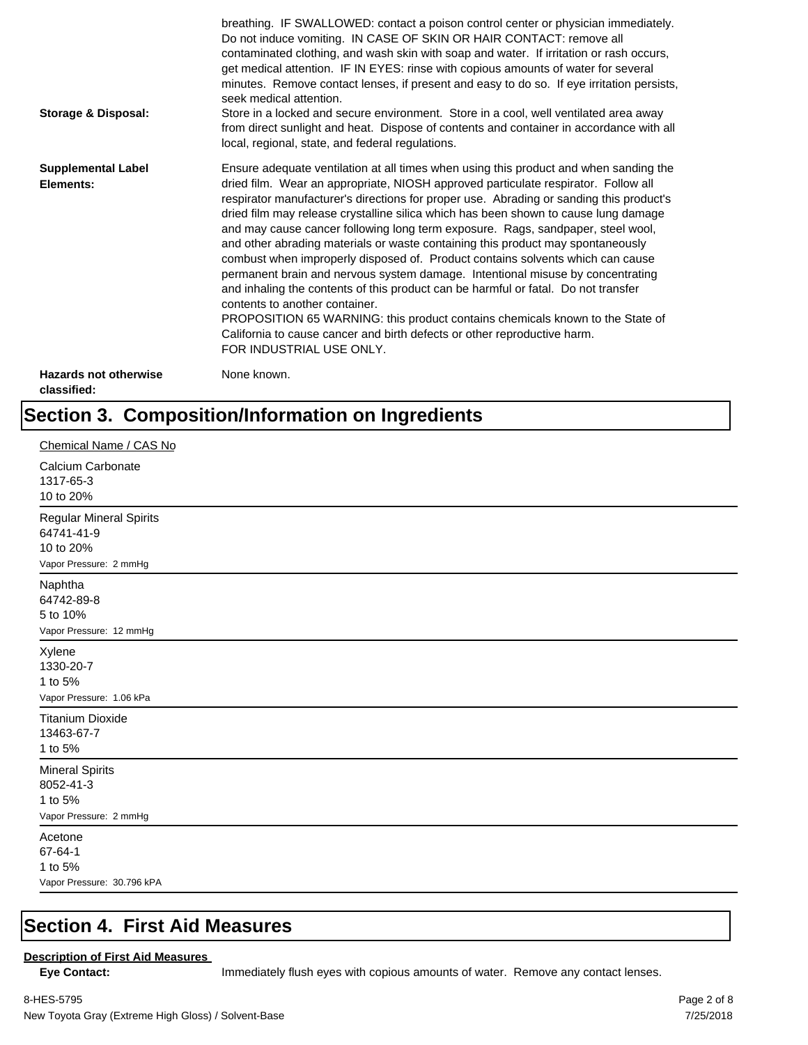| <b>Storage &amp; Disposal:</b>              | breathing. IF SWALLOWED: contact a poison control center or physician immediately.<br>Do not induce vomiting. IN CASE OF SKIN OR HAIR CONTACT: remove all<br>contaminated clothing, and wash skin with soap and water. If irritation or rash occurs,<br>get medical attention. IF IN EYES: rinse with copious amounts of water for several<br>minutes. Remove contact lenses, if present and easy to do so. If eye irritation persists,<br>seek medical attention.<br>Store in a locked and secure environment. Store in a cool, well ventilated area away<br>from direct sunlight and heat. Dispose of contents and container in accordance with all<br>local, regional, state, and federal regulations.                                                                                                                                                                                                                                                                                                                |
|---------------------------------------------|--------------------------------------------------------------------------------------------------------------------------------------------------------------------------------------------------------------------------------------------------------------------------------------------------------------------------------------------------------------------------------------------------------------------------------------------------------------------------------------------------------------------------------------------------------------------------------------------------------------------------------------------------------------------------------------------------------------------------------------------------------------------------------------------------------------------------------------------------------------------------------------------------------------------------------------------------------------------------------------------------------------------------|
| <b>Supplemental Label</b><br>Elements:      | Ensure adequate ventilation at all times when using this product and when sanding the<br>dried film. Wear an appropriate, NIOSH approved particulate respirator. Follow all<br>respirator manufacturer's directions for proper use. Abrading or sanding this product's<br>dried film may release crystalline silica which has been shown to cause lung damage<br>and may cause cancer following long term exposure. Rags, sandpaper, steel wool,<br>and other abrading materials or waste containing this product may spontaneously<br>combust when improperly disposed of. Product contains solvents which can cause<br>permanent brain and nervous system damage. Intentional misuse by concentrating<br>and inhaling the contents of this product can be harmful or fatal. Do not transfer<br>contents to another container.<br>PROPOSITION 65 WARNING: this product contains chemicals known to the State of<br>California to cause cancer and birth defects or other reproductive harm.<br>FOR INDUSTRIAL USE ONLY. |
| <b>Hazards not otherwise</b><br>classified: | None known.                                                                                                                                                                                                                                                                                                                                                                                                                                                                                                                                                                                                                                                                                                                                                                                                                                                                                                                                                                                                              |

## **Section 3. Composition/Information on Ingredients**

| Chemical Name / CAS No                                                              |
|-------------------------------------------------------------------------------------|
| Calcium Carbonate<br>1317-65-3<br>10 to 20%                                         |
| <b>Regular Mineral Spirits</b><br>64741-41-9<br>10 to 20%<br>Vapor Pressure: 2 mmHg |
| Naphtha<br>64742-89-8<br>5 to 10%<br>Vapor Pressure: 12 mmHg                        |
| Xylene<br>1330-20-7<br>1 to 5%<br>Vapor Pressure: 1.06 kPa                          |
| <b>Titanium Dioxide</b><br>13463-67-7<br>1 to 5%                                    |
| <b>Mineral Spirits</b><br>8052-41-3<br>1 to 5%<br>Vapor Pressure: 2 mmHg            |
| Acetone<br>67-64-1<br>1 to 5%<br>Vapor Pressure: 30.796 kPA                         |

#### **Section 4. First Aid Measures**

#### **Description of First Aid Measures**

Eye Contact: **IMMED** Immediately flush eyes with copious amounts of water. Remove any contact lenses.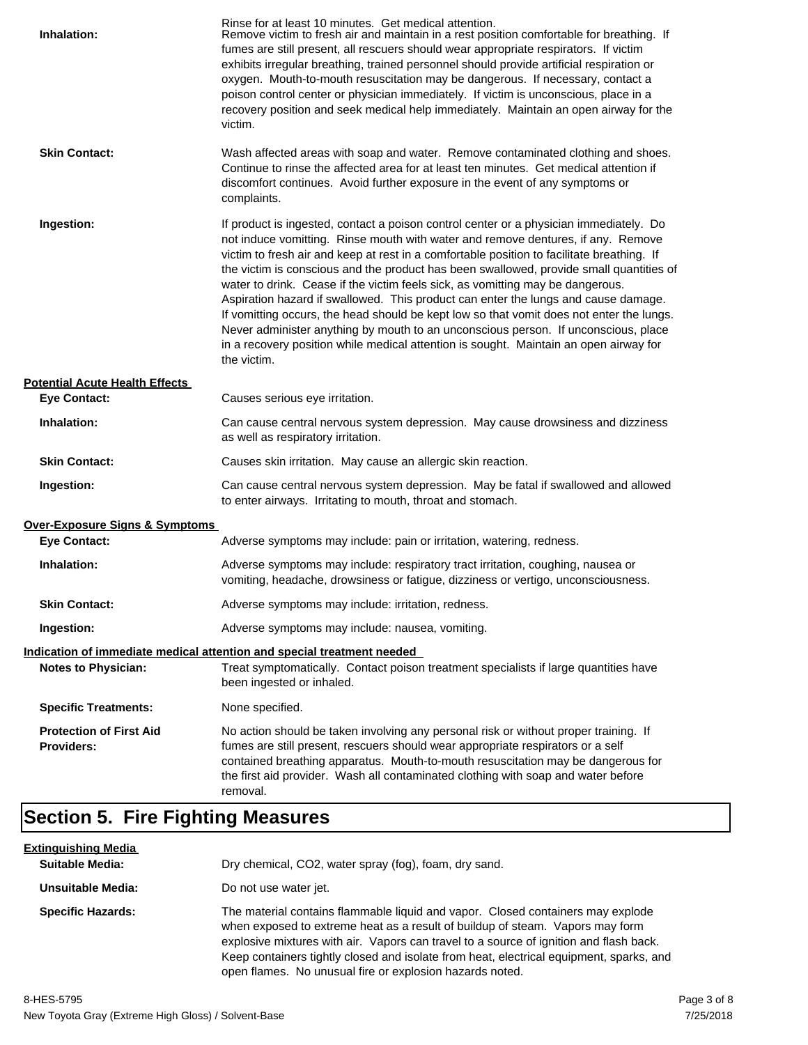| Inhalation:                                         | Rinse for at least 10 minutes. Get medical attention.<br>Remove victim to fresh air and maintain in a rest position comfortable for breathing. If<br>fumes are still present, all rescuers should wear appropriate respirators. If victim<br>exhibits irregular breathing, trained personnel should provide artificial respiration or<br>oxygen. Mouth-to-mouth resuscitation may be dangerous. If necessary, contact a<br>poison control center or physician immediately. If victim is unconscious, place in a<br>recovery position and seek medical help immediately. Maintain an open airway for the<br>victim.                                                                                                                                                                                                                    |
|-----------------------------------------------------|---------------------------------------------------------------------------------------------------------------------------------------------------------------------------------------------------------------------------------------------------------------------------------------------------------------------------------------------------------------------------------------------------------------------------------------------------------------------------------------------------------------------------------------------------------------------------------------------------------------------------------------------------------------------------------------------------------------------------------------------------------------------------------------------------------------------------------------|
| <b>Skin Contact:</b>                                | Wash affected areas with soap and water. Remove contaminated clothing and shoes.<br>Continue to rinse the affected area for at least ten minutes. Get medical attention if<br>discomfort continues. Avoid further exposure in the event of any symptoms or<br>complaints.                                                                                                                                                                                                                                                                                                                                                                                                                                                                                                                                                             |
| Ingestion:                                          | If product is ingested, contact a poison control center or a physician immediately. Do<br>not induce vomitting. Rinse mouth with water and remove dentures, if any. Remove<br>victim to fresh air and keep at rest in a comfortable position to facilitate breathing. If<br>the victim is conscious and the product has been swallowed, provide small quantities of<br>water to drink. Cease if the victim feels sick, as vomitting may be dangerous.<br>Aspiration hazard if swallowed. This product can enter the lungs and cause damage.<br>If vomitting occurs, the head should be kept low so that vomit does not enter the lungs.<br>Never administer anything by mouth to an unconscious person. If unconscious, place<br>in a recovery position while medical attention is sought. Maintain an open airway for<br>the victim. |
| <b>Potential Acute Health Effects</b>               |                                                                                                                                                                                                                                                                                                                                                                                                                                                                                                                                                                                                                                                                                                                                                                                                                                       |
| <b>Eye Contact:</b>                                 | Causes serious eye irritation.                                                                                                                                                                                                                                                                                                                                                                                                                                                                                                                                                                                                                                                                                                                                                                                                        |
| Inhalation:                                         | Can cause central nervous system depression. May cause drowsiness and dizziness<br>as well as respiratory irritation.                                                                                                                                                                                                                                                                                                                                                                                                                                                                                                                                                                                                                                                                                                                 |
| <b>Skin Contact:</b>                                | Causes skin irritation. May cause an allergic skin reaction.                                                                                                                                                                                                                                                                                                                                                                                                                                                                                                                                                                                                                                                                                                                                                                          |
| Ingestion:                                          | Can cause central nervous system depression. May be fatal if swallowed and allowed<br>to enter airways. Irritating to mouth, throat and stomach.                                                                                                                                                                                                                                                                                                                                                                                                                                                                                                                                                                                                                                                                                      |
| Over-Exposure Signs & Symptoms                      |                                                                                                                                                                                                                                                                                                                                                                                                                                                                                                                                                                                                                                                                                                                                                                                                                                       |
| <b>Eye Contact:</b>                                 | Adverse symptoms may include: pain or irritation, watering, redness.                                                                                                                                                                                                                                                                                                                                                                                                                                                                                                                                                                                                                                                                                                                                                                  |
| Inhalation:                                         | Adverse symptoms may include: respiratory tract irritation, coughing, nausea or<br>vomiting, headache, drowsiness or fatigue, dizziness or vertigo, unconsciousness.                                                                                                                                                                                                                                                                                                                                                                                                                                                                                                                                                                                                                                                                  |
| <b>Skin Contact:</b>                                | Adverse symptoms may include: irritation, redness.                                                                                                                                                                                                                                                                                                                                                                                                                                                                                                                                                                                                                                                                                                                                                                                    |
| Ingestion:                                          | Adverse symptoms may include: nausea, vomiting.                                                                                                                                                                                                                                                                                                                                                                                                                                                                                                                                                                                                                                                                                                                                                                                       |
|                                                     | Indication of immediate medical attention and special treatment needed                                                                                                                                                                                                                                                                                                                                                                                                                                                                                                                                                                                                                                                                                                                                                                |
| <b>Notes to Physician:</b>                          | Treat symptomatically. Contact poison treatment specialists if large quantities have<br>been ingested or inhaled.                                                                                                                                                                                                                                                                                                                                                                                                                                                                                                                                                                                                                                                                                                                     |
| <b>Specific Treatments:</b>                         | None specified.                                                                                                                                                                                                                                                                                                                                                                                                                                                                                                                                                                                                                                                                                                                                                                                                                       |
| <b>Protection of First Aid</b><br><b>Providers:</b> | No action should be taken involving any personal risk or without proper training. If<br>fumes are still present, rescuers should wear appropriate respirators or a self<br>contained breathing apparatus. Mouth-to-mouth resuscitation may be dangerous for<br>the first aid provider. Wash all contaminated clothing with soap and water before<br>removal.                                                                                                                                                                                                                                                                                                                                                                                                                                                                          |

## **Section 5. Fire Fighting Measures**

| <u>Extinquishing Media</u> |                                                                                                                                                                                                                                                                                                                                                                                                                   |
|----------------------------|-------------------------------------------------------------------------------------------------------------------------------------------------------------------------------------------------------------------------------------------------------------------------------------------------------------------------------------------------------------------------------------------------------------------|
| <b>Suitable Media:</b>     | Dry chemical, CO2, water spray (fog), foam, dry sand.                                                                                                                                                                                                                                                                                                                                                             |
| Unsuitable Media:          | Do not use water jet.                                                                                                                                                                                                                                                                                                                                                                                             |
| <b>Specific Hazards:</b>   | The material contains flammable liquid and vapor. Closed containers may explode<br>when exposed to extreme heat as a result of buildup of steam. Vapors may form<br>explosive mixtures with air. Vapors can travel to a source of ignition and flash back.<br>Keep containers tightly closed and isolate from heat, electrical equipment, sparks, and<br>open flames. No unusual fire or explosion hazards noted. |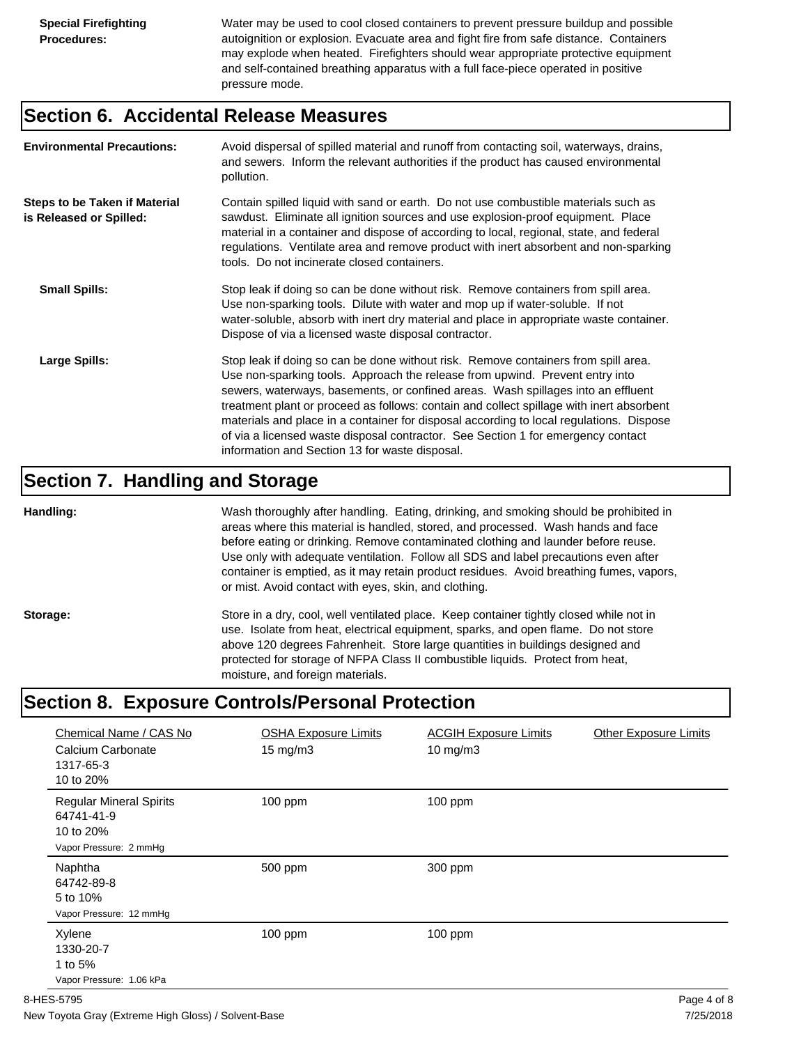Water may be used to cool closed containers to prevent pressure buildup and possible autoignition or explosion. Evacuate area and fight fire from safe distance. Containers may explode when heated. Firefighters should wear appropriate protective equipment and self-contained breathing apparatus with a full face-piece operated in positive pressure mode.

#### **Section 6. Accidental Release Measures**

| <b>Environmental Precautions:</b>                               | Avoid dispersal of spilled material and runoff from contacting soil, waterways, drains,<br>and sewers. Inform the relevant authorities if the product has caused environmental<br>pollution.                                                                                                                                                                                                                                                                                                                                                                                        |
|-----------------------------------------------------------------|-------------------------------------------------------------------------------------------------------------------------------------------------------------------------------------------------------------------------------------------------------------------------------------------------------------------------------------------------------------------------------------------------------------------------------------------------------------------------------------------------------------------------------------------------------------------------------------|
| <b>Steps to be Taken if Material</b><br>is Released or Spilled: | Contain spilled liquid with sand or earth. Do not use combustible materials such as<br>sawdust. Eliminate all ignition sources and use explosion-proof equipment. Place<br>material in a container and dispose of according to local, regional, state, and federal<br>regulations. Ventilate area and remove product with inert absorbent and non-sparking<br>tools. Do not incinerate closed containers.                                                                                                                                                                           |
| <b>Small Spills:</b>                                            | Stop leak if doing so can be done without risk. Remove containers from spill area.<br>Use non-sparking tools. Dilute with water and mop up if water-soluble. If not<br>water-soluble, absorb with inert dry material and place in appropriate waste container.<br>Dispose of via a licensed waste disposal contractor.                                                                                                                                                                                                                                                              |
| Large Spills:                                                   | Stop leak if doing so can be done without risk. Remove containers from spill area.<br>Use non-sparking tools. Approach the release from upwind. Prevent entry into<br>sewers, waterways, basements, or confined areas. Wash spillages into an effluent<br>treatment plant or proceed as follows: contain and collect spillage with inert absorbent<br>materials and place in a container for disposal according to local regulations. Dispose<br>of via a licensed waste disposal contractor. See Section 1 for emergency contact<br>information and Section 13 for waste disposal. |

#### **Section 7. Handling and Storage**

**Handling:** Wash thoroughly after handling. Eating, drinking, and smoking should be prohibited in areas where this material is handled, stored, and processed. Wash hands and face before eating or drinking. Remove contaminated clothing and launder before reuse. Use only with adequate ventilation. Follow all SDS and label precautions even after container is emptied, as it may retain product residues. Avoid breathing fumes, vapors, or mist. Avoid contact with eyes, skin, and clothing.

Storage: Store in a dry, cool, well ventilated place. Keep container tightly closed while not in use. Isolate from heat, electrical equipment, sparks, and open flame. Do not store above 120 degrees Fahrenheit. Store large quantities in buildings designed and protected for storage of NFPA Class II combustible liquids. Protect from heat, moisture, and foreign materials.

### **Section 8. Exposure Controls/Personal Protection**

| Chemical Name / CAS No<br>Calcium Carbonate<br>1317-65-3<br>10 to 20%               | <b>OSHA Exposure Limits</b><br>$15 \text{ mg/m}$ | <b>ACGIH Exposure Limits</b><br>$10$ mg/m $3$ | <b>Other Exposure Limits</b> |
|-------------------------------------------------------------------------------------|--------------------------------------------------|-----------------------------------------------|------------------------------|
| <b>Regular Mineral Spirits</b><br>64741-41-9<br>10 to 20%<br>Vapor Pressure: 2 mmHg | $100$ ppm                                        | 100 ppm                                       |                              |
| Naphtha<br>64742-89-8<br>5 to 10%<br>Vapor Pressure: 12 mmHg                        | 500 ppm                                          | 300 ppm                                       |                              |
| Xylene<br>1330-20-7<br>1 to 5%<br>Vapor Pressure: 1.06 kPa                          | $100$ ppm                                        | 100 ppm                                       |                              |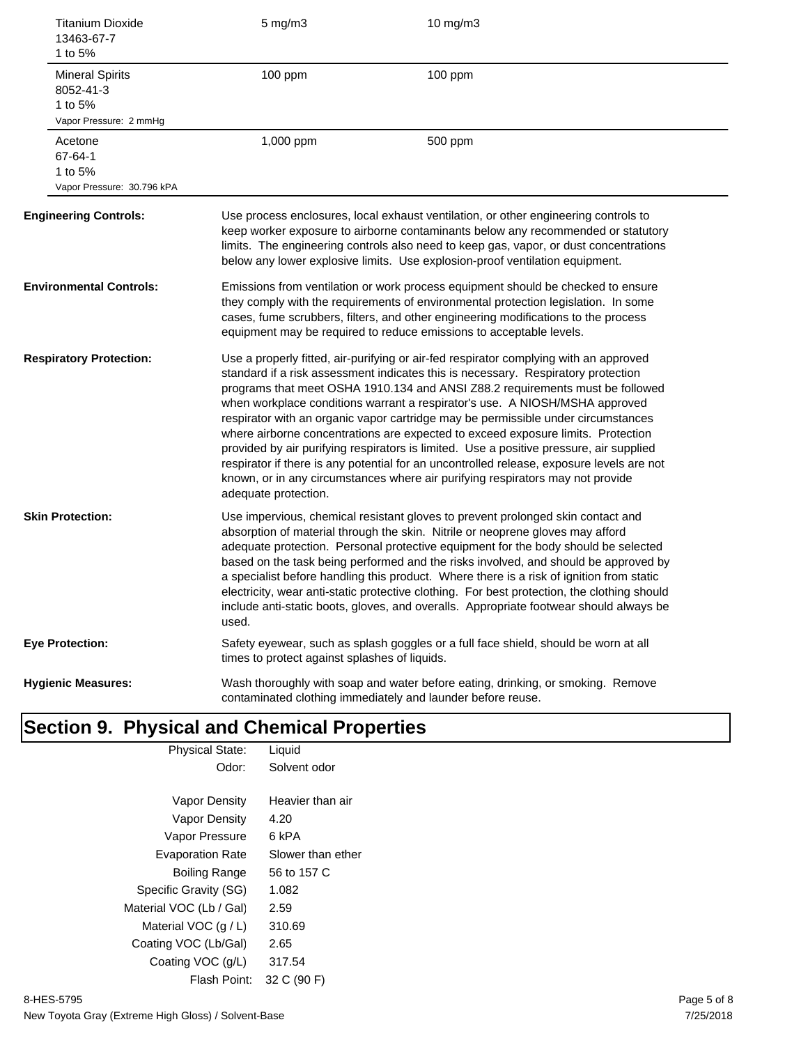| 13463-67-7<br>1 to 5%                          | <b>Titanium Dioxide</b>    | $5$ mg/m $3$                                                                                                                                                                                                                                                                                                                        | 10 mg/m3                                                                                                                                                                                                                                                                                                                                                                                                                                                                                                                                                                                                                                                                                                                                                                                      |  |
|------------------------------------------------|----------------------------|-------------------------------------------------------------------------------------------------------------------------------------------------------------------------------------------------------------------------------------------------------------------------------------------------------------------------------------|-----------------------------------------------------------------------------------------------------------------------------------------------------------------------------------------------------------------------------------------------------------------------------------------------------------------------------------------------------------------------------------------------------------------------------------------------------------------------------------------------------------------------------------------------------------------------------------------------------------------------------------------------------------------------------------------------------------------------------------------------------------------------------------------------|--|
| <b>Mineral Spirits</b><br>8052-41-3<br>1 to 5% | Vapor Pressure: 2 mmHg     | 100 ppm                                                                                                                                                                                                                                                                                                                             | 100 ppm                                                                                                                                                                                                                                                                                                                                                                                                                                                                                                                                                                                                                                                                                                                                                                                       |  |
| Acetone<br>67-64-1<br>1 to 5%                  | Vapor Pressure: 30.796 kPA | 1,000 ppm                                                                                                                                                                                                                                                                                                                           | 500 ppm                                                                                                                                                                                                                                                                                                                                                                                                                                                                                                                                                                                                                                                                                                                                                                                       |  |
| <b>Engineering Controls:</b>                   |                            |                                                                                                                                                                                                                                                                                                                                     | Use process enclosures, local exhaust ventilation, or other engineering controls to<br>keep worker exposure to airborne contaminants below any recommended or statutory<br>limits. The engineering controls also need to keep gas, vapor, or dust concentrations<br>below any lower explosive limits. Use explosion-proof ventilation equipment.                                                                                                                                                                                                                                                                                                                                                                                                                                              |  |
| <b>Environmental Controls:</b>                 |                            | Emissions from ventilation or work process equipment should be checked to ensure<br>they comply with the requirements of environmental protection legislation. In some<br>cases, fume scrubbers, filters, and other engineering modifications to the process<br>equipment may be required to reduce emissions to acceptable levels. |                                                                                                                                                                                                                                                                                                                                                                                                                                                                                                                                                                                                                                                                                                                                                                                               |  |
| <b>Respiratory Protection:</b>                 |                            | adequate protection.                                                                                                                                                                                                                                                                                                                | Use a properly fitted, air-purifying or air-fed respirator complying with an approved<br>standard if a risk assessment indicates this is necessary. Respiratory protection<br>programs that meet OSHA 1910.134 and ANSI Z88.2 requirements must be followed<br>when workplace conditions warrant a respirator's use. A NIOSH/MSHA approved<br>respirator with an organic vapor cartridge may be permissible under circumstances<br>where airborne concentrations are expected to exceed exposure limits. Protection<br>provided by air purifying respirators is limited. Use a positive pressure, air supplied<br>respirator if there is any potential for an uncontrolled release, exposure levels are not<br>known, or in any circumstances where air purifying respirators may not provide |  |
| <b>Skin Protection:</b>                        |                            | used.                                                                                                                                                                                                                                                                                                                               | Use impervious, chemical resistant gloves to prevent prolonged skin contact and<br>absorption of material through the skin. Nitrile or neoprene gloves may afford<br>adequate protection. Personal protective equipment for the body should be selected<br>based on the task being performed and the risks involved, and should be approved by<br>a specialist before handling this product. Where there is a risk of ignition from static<br>electricity, wear anti-static protective clothing. For best protection, the clothing should<br>include anti-static boots, gloves, and overalls. Appropriate footwear should always be                                                                                                                                                           |  |
| <b>Eye Protection:</b>                         |                            | times to protect against splashes of liquids.                                                                                                                                                                                                                                                                                       | Safety eyewear, such as splash goggles or a full face shield, should be worn at all                                                                                                                                                                                                                                                                                                                                                                                                                                                                                                                                                                                                                                                                                                           |  |
| <b>Hygienic Measures:</b>                      |                            |                                                                                                                                                                                                                                                                                                                                     | Wash thoroughly with soap and water before eating, drinking, or smoking. Remove<br>contaminated clothing immediately and launder before reuse.                                                                                                                                                                                                                                                                                                                                                                                                                                                                                                                                                                                                                                                |  |

## **Section 9. Physical and Chemical Properties**

| <b>Physical State:</b>  | Liquid            |
|-------------------------|-------------------|
| Odor:                   | Solvent odor      |
|                         |                   |
| Vapor Density           | Heavier than air  |
| Vapor Density           | 4.20              |
| Vapor Pressure          | 6 kPA             |
| <b>Evaporation Rate</b> | Slower than ether |
| Boiling Range           | 56 to 157 C       |
| Specific Gravity (SG)   | 1.082             |
| Material VOC (Lb / Gal) | 2.59              |
| Material VOC $(q/L)$    | 310.69            |
| Coating VOC (Lb/Gal)    | 2.65              |
| Coating VOC (g/L)       | 317.54            |
| Flash Point:            | 32 C (90 F)       |
|                         |                   |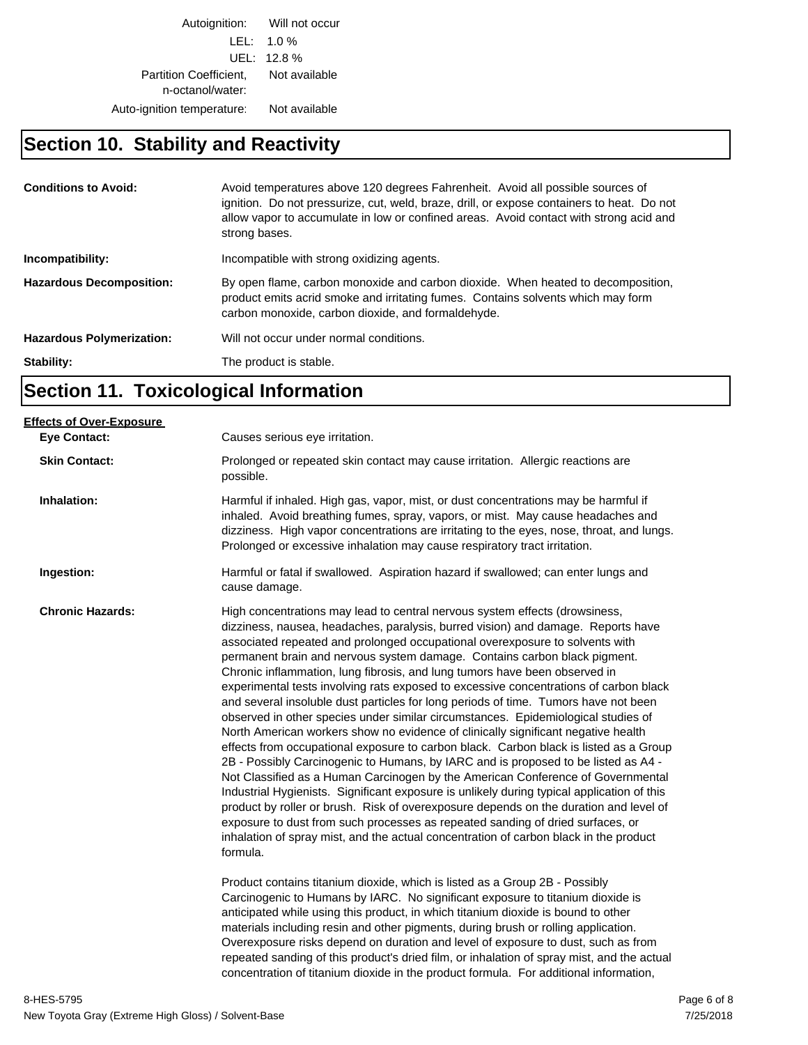Autoignition: Will not occur LEL: 1.0 % UEL: 12.8 % Partition Coefficient, Not available n-octanol/water: Auto-ignition temperature: Not available

## **Section 10. Stability and Reactivity**

| <b>Conditions to Avoid:</b>      | Avoid temperatures above 120 degrees Fahrenheit. Avoid all possible sources of<br>ignition. Do not pressurize, cut, weld, braze, drill, or expose containers to heat. Do not<br>allow vapor to accumulate in low or confined areas. Avoid contact with strong acid and<br>strong bases. |
|----------------------------------|-----------------------------------------------------------------------------------------------------------------------------------------------------------------------------------------------------------------------------------------------------------------------------------------|
| Incompatibility:                 | Incompatible with strong oxidizing agents.                                                                                                                                                                                                                                              |
| <b>Hazardous Decomposition:</b>  | By open flame, carbon monoxide and carbon dioxide. When heated to decomposition,<br>product emits acrid smoke and irritating fumes. Contains solvents which may form<br>carbon monoxide, carbon dioxide, and formaldehyde.                                                              |
| <b>Hazardous Polymerization:</b> | Will not occur under normal conditions.                                                                                                                                                                                                                                                 |
| Stability:                       | The product is stable.                                                                                                                                                                                                                                                                  |

## **Section 11. Toxicological Information**

| Causes serious eye irritation.                                                                                                                                                                                                                                                                                                                                                                                                                                                                                                                                                                                                                                                                                                                                                                                                                                                                                                                                                                                                                                                                                                                                                                                                                                                                                                                                                                                                                                                                      |
|-----------------------------------------------------------------------------------------------------------------------------------------------------------------------------------------------------------------------------------------------------------------------------------------------------------------------------------------------------------------------------------------------------------------------------------------------------------------------------------------------------------------------------------------------------------------------------------------------------------------------------------------------------------------------------------------------------------------------------------------------------------------------------------------------------------------------------------------------------------------------------------------------------------------------------------------------------------------------------------------------------------------------------------------------------------------------------------------------------------------------------------------------------------------------------------------------------------------------------------------------------------------------------------------------------------------------------------------------------------------------------------------------------------------------------------------------------------------------------------------------------|
| Prolonged or repeated skin contact may cause irritation. Allergic reactions are<br>possible.                                                                                                                                                                                                                                                                                                                                                                                                                                                                                                                                                                                                                                                                                                                                                                                                                                                                                                                                                                                                                                                                                                                                                                                                                                                                                                                                                                                                        |
| Harmful if inhaled. High gas, vapor, mist, or dust concentrations may be harmful if<br>inhaled. Avoid breathing fumes, spray, vapors, or mist. May cause headaches and<br>dizziness. High vapor concentrations are irritating to the eyes, nose, throat, and lungs.<br>Prolonged or excessive inhalation may cause respiratory tract irritation.                                                                                                                                                                                                                                                                                                                                                                                                                                                                                                                                                                                                                                                                                                                                                                                                                                                                                                                                                                                                                                                                                                                                                    |
| Harmful or fatal if swallowed. Aspiration hazard if swallowed; can enter lungs and<br>cause damage.                                                                                                                                                                                                                                                                                                                                                                                                                                                                                                                                                                                                                                                                                                                                                                                                                                                                                                                                                                                                                                                                                                                                                                                                                                                                                                                                                                                                 |
| High concentrations may lead to central nervous system effects (drowsiness,<br>dizziness, nausea, headaches, paralysis, burred vision) and damage. Reports have<br>associated repeated and prolonged occupational overexposure to solvents with<br>permanent brain and nervous system damage. Contains carbon black pigment.<br>Chronic inflammation, lung fibrosis, and lung tumors have been observed in<br>experimental tests involving rats exposed to excessive concentrations of carbon black<br>and several insoluble dust particles for long periods of time. Tumors have not been<br>observed in other species under similar circumstances. Epidemiological studies of<br>North American workers show no evidence of clinically significant negative health<br>effects from occupational exposure to carbon black. Carbon black is listed as a Group<br>2B - Possibly Carcinogenic to Humans, by IARC and is proposed to be listed as A4 -<br>Not Classified as a Human Carcinogen by the American Conference of Governmental<br>Industrial Hygienists. Significant exposure is unlikely during typical application of this<br>product by roller or brush. Risk of overexposure depends on the duration and level of<br>exposure to dust from such processes as repeated sanding of dried surfaces, or<br>inhalation of spray mist, and the actual concentration of carbon black in the product<br>formula.<br>Product contains titanium dioxide, which is listed as a Group 2B - Possibly |
| Carcinogenic to Humans by IARC. No significant exposure to titanium dioxide is<br>anticipated while using this product, in which titanium dioxide is bound to other<br>materials including resin and other pigments, during brush or rolling application.<br>Overexposure risks depend on duration and level of exposure to dust, such as from<br>repeated sanding of this product's dried film, or inhalation of spray mist, and the actual<br>concentration of titanium dioxide in the product formula. For additional information,                                                                                                                                                                                                                                                                                                                                                                                                                                                                                                                                                                                                                                                                                                                                                                                                                                                                                                                                                               |
|                                                                                                                                                                                                                                                                                                                                                                                                                                                                                                                                                                                                                                                                                                                                                                                                                                                                                                                                                                                                                                                                                                                                                                                                                                                                                                                                                                                                                                                                                                     |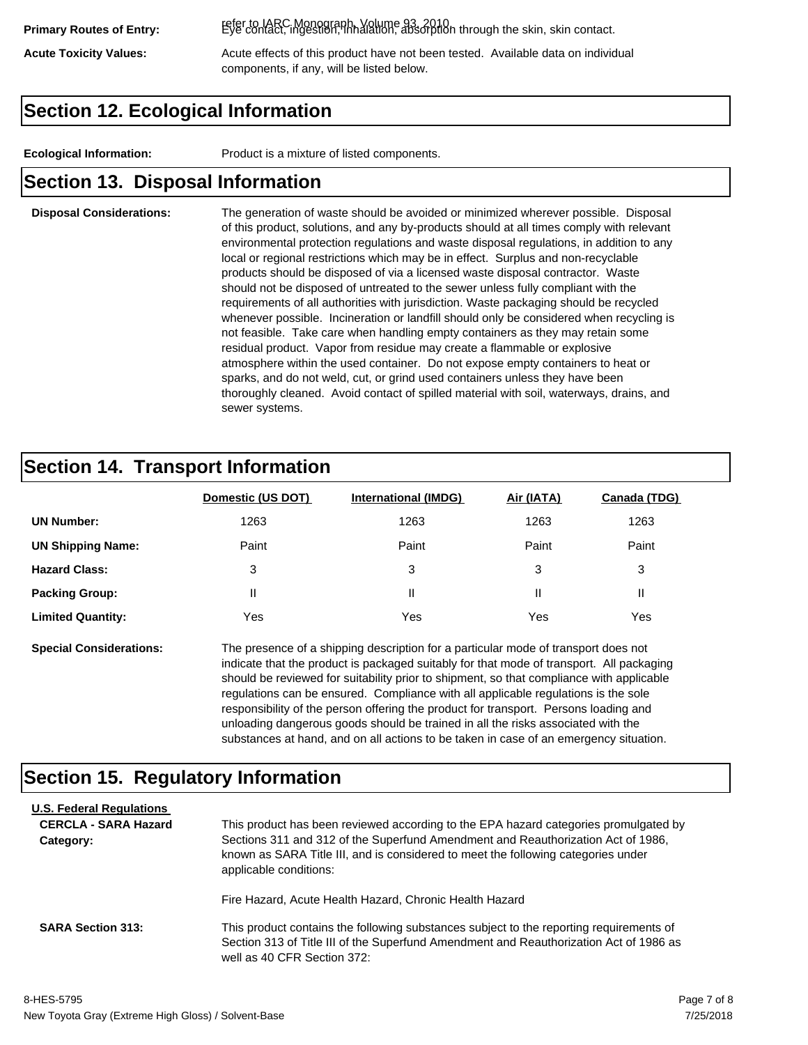refer to IARC Monograph, Volume 93, 2010. **Primary Routes of Entry:** Eye contact, ingestion, inhalation, absorption through the skin, skin contact.

Acute Toxicity Values: **Acute effects of this product have not been tested.** Available data on individual components, if any, will be listed below.

#### **Section 12. Ecological Information**

**Ecological Information:** Product is a mixture of listed components.

#### **Section 13. Disposal Information**

#### **Disposal Considerations:** The generation of waste should be avoided or minimized wherever possible. Disposal of this product, solutions, and any by-products should at all times comply with relevant environmental protection regulations and waste disposal regulations, in addition to any local or regional restrictions which may be in effect. Surplus and non-recyclable products should be disposed of via a licensed waste disposal contractor. Waste should not be disposed of untreated to the sewer unless fully compliant with the requirements of all authorities with jurisdiction. Waste packaging should be recycled whenever possible. Incineration or landfill should only be considered when recycling is not feasible. Take care when handling empty containers as they may retain some residual product. Vapor from residue may create a flammable or explosive atmosphere within the used container. Do not expose empty containers to heat or sparks, and do not weld, cut, or grind used containers unless they have been thoroughly cleaned. Avoid contact of spilled material with soil, waterways, drains, and sewer systems.

#### **Section 14. Transport Information**

|                          | Domestic (US DOT) | <b>International (IMDG)</b> | Air (IATA) | <b>Canada (TDG)</b> |
|--------------------------|-------------------|-----------------------------|------------|---------------------|
| <b>UN Number:</b>        | 1263              | 1263                        | 1263       | 1263                |
| <b>UN Shipping Name:</b> | Paint             | Paint                       | Paint      | Paint               |
| <b>Hazard Class:</b>     | 3                 | 3                           | 3          | 3                   |
| <b>Packing Group:</b>    | Ш                 | Ш                           |            |                     |
| <b>Limited Quantity:</b> | Yes               | Yes                         | Yes        | Yes                 |

**Special Considerations:** The presence of a shipping description for a particular mode of transport does not indicate that the product is packaged suitably for that mode of transport. All packaging should be reviewed for suitability prior to shipment, so that compliance with applicable regulations can be ensured. Compliance with all applicable regulations is the sole responsibility of the person offering the product for transport. Persons loading and unloading dangerous goods should be trained in all the risks associated with the substances at hand, and on all actions to be taken in case of an emergency situation.

#### **Section 15. Regulatory Information**

| <b>U.S. Federal Regulations</b><br><b>CERCLA - SARA Hazard</b><br>Category: | This product has been reviewed according to the EPA hazard categories promulgated by<br>Sections 311 and 312 of the Superfund Amendment and Reauthorization Act of 1986,<br>known as SARA Title III, and is considered to meet the following categories under<br>applicable conditions: |
|-----------------------------------------------------------------------------|-----------------------------------------------------------------------------------------------------------------------------------------------------------------------------------------------------------------------------------------------------------------------------------------|
| <b>SARA Section 313:</b>                                                    | Fire Hazard, Acute Health Hazard, Chronic Health Hazard<br>This product contains the following substances subject to the reporting requirements of                                                                                                                                      |
|                                                                             | Section 313 of Title III of the Superfund Amendment and Reauthorization Act of 1986 as<br>well as 40 CFR Section 372:                                                                                                                                                                   |